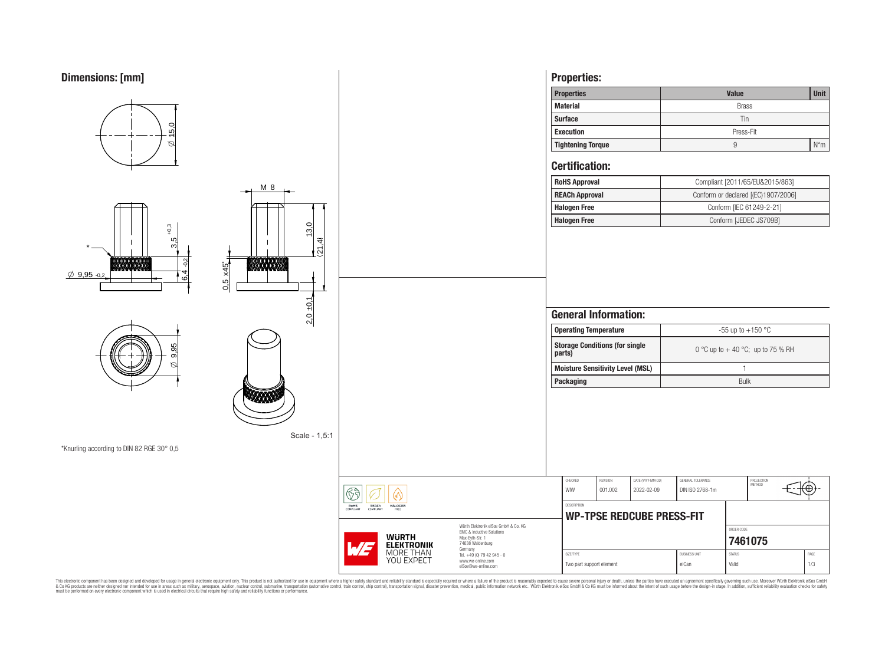

**RoHS**<br>COMPLIANT

REACH

**HALOGEN** 

**WURTH<br>ELEKTRONIK**<br>MORE THAN<br>YOU EXPECT

| <b>Properties</b>        | <b>Value</b> |        |  |  |  |
|--------------------------|--------------|--------|--|--|--|
| <b>Material</b>          | <b>Brass</b> |        |  |  |  |
| <b>Surface</b>           | Tin          |        |  |  |  |
| <b>Execution</b>         | Press-Fit    |        |  |  |  |
| <b>Tightening Torque</b> |              | $N^*m$ |  |  |  |

| <b>RoHS Approval</b>  | Compliant [2011/65/EU&2015/863]     |
|-----------------------|-------------------------------------|
| <b>REACh Approval</b> | Conform or declared [(EC)1907/2006] |
| <b>Halogen Free</b>   | Conform [IEC 61249-2-21]            |
| Halogen Free          | Conform [JEDEC JS709B]              |

|                                                                                                                     | <b>General Information:</b>                     |                            |                                 |                                                          |                        |                      |             |  |  |
|---------------------------------------------------------------------------------------------------------------------|-------------------------------------------------|----------------------------|---------------------------------|----------------------------------------------------------|------------------------|----------------------|-------------|--|--|
|                                                                                                                     | <b>Operating Temperature</b>                    |                            |                                 | -55 up to $+150$ °C<br>0 °C up to + 40 °C; up to 75 % RH |                        |                      |             |  |  |
|                                                                                                                     | <b>Storage Conditions (for single</b><br>parts) |                            |                                 |                                                          |                        |                      |             |  |  |
|                                                                                                                     | <b>Moisture Sensitivity Level (MSL)</b>         |                            |                                 | 1                                                        |                        |                      |             |  |  |
|                                                                                                                     | <b>Packaging</b>                                |                            |                                 | <b>Bulk</b>                                              |                        |                      |             |  |  |
|                                                                                                                     | CHECKED<br>WIW                                  | <b>REVISION</b><br>001.002 | DATE (YYYY-MM-DD)<br>2022-02-09 | GENERAL TOLERANCE<br>DIN ISO 2768-1m                     |                        | PROJECTION<br>METHOD |             |  |  |
| Würth Elektronik eiSos GmbH & Co. KG<br><b>EMC &amp; Inductive Solutions</b><br>Max-Eyth-Str. 1<br>74638 Waldenburg | <b>DESCRIPTION</b>                              |                            | WP-TPSE REDCUBE PRESS-FIT       |                                                          | ORDER CODE             | 7461075              |             |  |  |
| Germany<br>Tel. +49 (0) 79 42 945 - 0<br>www.we-online.com<br>eiSos@we-online.com                                   | SIZE/TYPE                                       | Two part support element   |                                 | <b>BLISINESS LINIT</b><br>eiCan                          | <b>STATUS</b><br>Valid |                      | PAGE<br>1/3 |  |  |

This electronic component has been designed and developed for usage in general electronic equipment only. This product is not authorized for subserved requipment where a higher selection equipment where a higher selection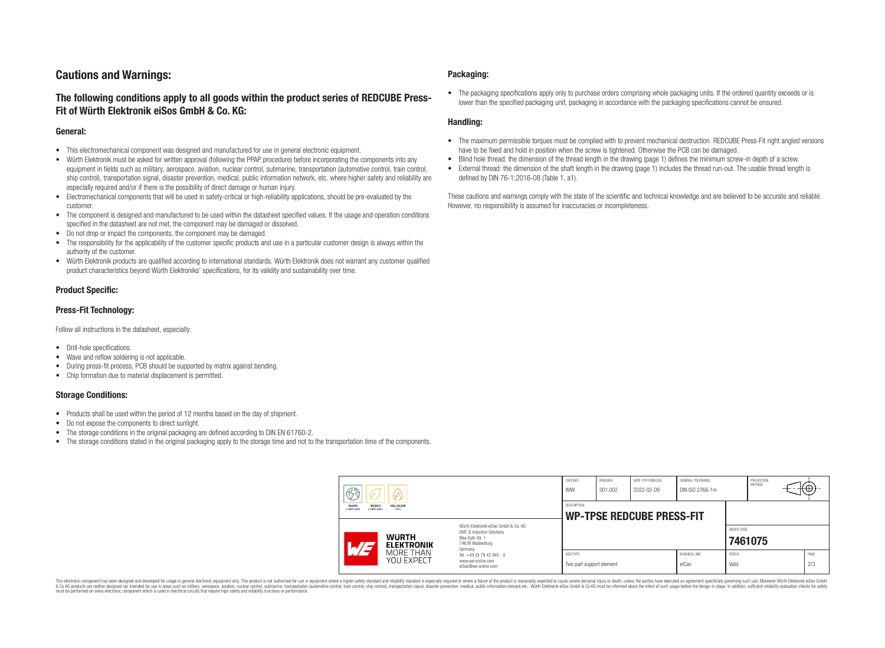# **Cautions and Warnings:**

# **The following conditions apply to all goods within the product series of REDCUBE Press-Fit of Würth Elektronik eiSos GmbH & Co. KG:**

### **General:**

- This electromechanical component was designed and manufactured for use in general electronic equipment.
- Würth Elektronik must be asked for written approval (following the PPAP procedure) before incorporating the components into any equipment in fields such as military, aerospace, aviation, nuclear control, submarine, transportation (automotive control, train control, ship control), transportation signal, disaster prevention, medical, public information network, etc. where higher safety and reliability are especially required and/or if there is the possibility of direct damage or human injury.
- Electromechanical components that will be used in safety-critical or high-reliability applications, should be pre-evaluated by the customer.
- The component is designed and manufactured to be used within the datasheet specified values. If the usage and operation conditions specified in the datasheet are not met, the component may be damaged or dissolved.
- Do not drop or impact the components, the component may be damaged.
- The responsibility for the applicability of the customer specific products and use in a particular customer design is always within the authority of the customer.
- Würth Elektronik products are qualified according to international standards. Würth Elektronik does not warrant any customer qualified product characteristics beyond Würth Elektroniks' specifications, for its validity and sustainability over time.

### **Product Specific:**

### **Press-Fit Technology:**

Follow all instructions in the datasheet, especially:

- Drill-hole specifications.
- Wave and reflow soldering is not applicable.
- During press-fit process, PCB should be supported by matrix against bending.
- Chip formation due to material displacement is permitted.

### **Storage Conditions:**

- Products shall be used within the period of 12 months based on the day of shipment.
- Do not expose the components to direct sunlight.
- The storage conditions in the original packaging are defined according to DIN EN 61760-2.
- The storage conditions stated in the original packaging apply to the storage time and not to the transportation time of the components.

### **Packaging:**

• The packaging specifications apply only to purchase orders comprising whole packaging units. If the ordered quantity exceeds or is lower than the specified packaging unit, packaging in accordance with the packaging specifications cannot be ensured.

### **Handling:**

- The maximum permissible torques must be complied with to prevent mechanical destruction. REDCUBE Press-Fit right angled versions have to be fixed and hold in position when the screw is tightened. Otherwise the PCB can be damaged.
- Blind hole thread: the dimension of the thread length in the drawing (page 1) defines the minimum screw-in depth of a screw.
- External thread: the dimension of the shaft length in the drawing (page 1) includes the thread run-out. The usable thread length is defined by DIN 76-1:2016-08 (Table 1, a1).

These cautions and warnings comply with the state of the scientific and technical knowledge and are believed to be accurate and reliable. However, no responsibility is assumed for inaccuracies or incompleteness.

| $\mathbb{G}$ ते<br><b>RoHS</b><br>REACh<br><b>HALOGEN</b><br>COMPLIANT<br>COMPLIANT<br>ERFF<br>Würth Elektronik eiSos GmbH & Co. KG<br><b>EMC &amp; Inductive Solutions</b><br><b>WURTH</b><br>Max-Evth-Str. 1<br>74638 Waldenburg<br><b>ELEKTRONIK</b><br>Germany |                                                                        | CHECKED<br>WIW                                  | REVISION<br>001.002 | DATE (YYYY-MM-DD)<br>2022-02-09 | GENERAL TOLERANCE<br>DIN ISO 2768-1m |                        | PROJECTION<br>METHOD |  | ⊬⊕∶         |
|--------------------------------------------------------------------------------------------------------------------------------------------------------------------------------------------------------------------------------------------------------------------|------------------------------------------------------------------------|-------------------------------------------------|---------------------|---------------------------------|--------------------------------------|------------------------|----------------------|--|-------------|
|                                                                                                                                                                                                                                                                    |                                                                        | DESCRIPTION<br><b>WP-TPSE REDCUBE PRESS-FIT</b> |                     |                                 |                                      |                        |                      |  |             |
|                                                                                                                                                                                                                                                                    |                                                                        |                                                 |                     |                                 |                                      | ORDER CODE             | 7461075              |  |             |
| MORE THAN<br><b>YOU EXPECT</b>                                                                                                                                                                                                                                     | Tel. +49 (0) 79 42 945 - 0<br>www.we-online.com<br>eiSos@we-online.com | SIZE/TYPE<br>Two part support element           |                     |                                 | <b>BUSINESS UNIT</b><br>eiCan        | <b>STATUS</b><br>Valid |                      |  | PAGE<br>2/3 |

This electronic component has been designed and developed for usage in general electronic equipment only. This product is not authorized for use in equipment where a higher safety standard and reliability standard si espec & Ook product a label and the membed of the seasuch as marked and as which such a membed and the such assume that income in the seasuch and the simulation and the such assume that include to the such a membed and the such